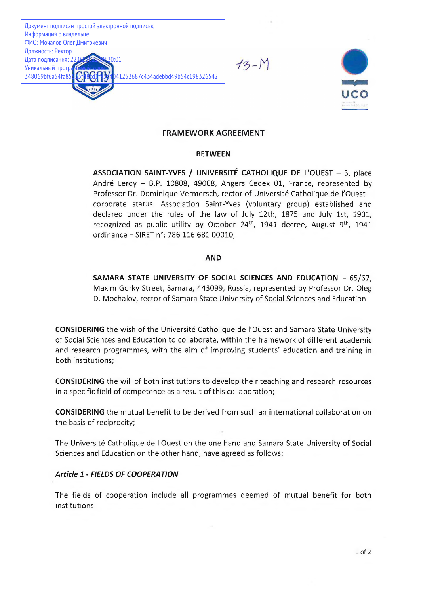Документ подписан простой электронной подписью Информация о владельце: ФИО: Мочалов Олег Дмитриевич Должность: Ректор Дата подписания: 22.02.2022 09:20:01 Уникальный програм<br>348069bf6a54fa85 41252687c434adebbd49b54c198326542

 $13 - N$ 



# **FRAMEWORK AGREEMENT**

### **BETWEEN**

**ASSOCIATION SAINT-YVES / UNIVERSITÉ CATHOLIQUE DE L'OUEST** - 3, place André Leroy - B.P. 10808, 49008, Angers Cedex 01, France, represented by Professor Dr. Dominique Vermersch, rector of Université Catholique de l'Ouest corporate status: Association Saint-Yves (voluntary group) established and declared under the rules of the law of July 12th, 1875 and July 1st, 1901, recognized as public utility by October  $24<sup>th</sup>$ , 1941 decree, August  $9<sup>th</sup>$ , 1941 ordinance - SIRET n°: 786 116 681 00010,

### **AND**

**SAMARA STATE UNIVERSITY OF SOCIAL SCIENCES AND EDUCATION** - 65/67, Maxim Gorky Street, Samara, 443099, Russia, represented by Professor Dr. Oleg D. M ochalov, rector of Samara State University of Social Sciences and Education

**CONSIDERING** the wish of the Université Catholique de l'Ouest and Samara State University of Social Sciences and Education to collaborate, within the framework of different academic and research programmes, with the aim of improving students' education and training in both institutions;

**CONSIDERING** the will of both institutions to develop their teaching and research resources in a specific field of competence as a result of this collaboration;

**CONSIDERING** the mutual benefit to be derived from such an international collaboration on the basis of reciprocity;

The Université Catholique de l'Ouest on the one hand and Samara State University of Social Sciences and Education on the other hand, have agreed as follows:

# *Article 1 - FIELDS OF COOPERATION*

The fields of cooperation include all programmes deemed of mutual benefit for both institutions.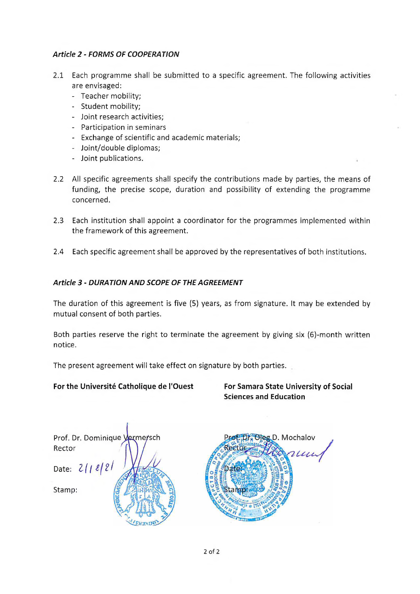# *Article 2 - FORMS OF COOPERATION*

- 2.1 Each programme shall be submitted to a specific agreement. The following activities are envisaged:
	- Teacher mobility;
	- Student mobility;
	- Joint research activities;
	- Participation in seminars
	- Exchange of scientific and academic materials;
	- Joint/double diplomas;
	- Joint publications.
- 2.2 All specific agreements shall specify the contributions made by parties, the means of funding, the precise scope, duration and possibility of extending the programme concerned.
- 2.3 Each institution shall appoint a coordinator for the programmes implemented within the framework of this agreement.
- 2.4 Each specific agreement shall be approved by the representatives of both institutions.

# *Article 3 - DURATION AND SCOPE OF THE AGREEMENT*

The duration of this agreement is five (5) years, as from signature. It may be extended by mutual consent of both parties.

Both parties reserve the right to terminate the agreement by giving six (6)-month written notice.

The present agreement will take effect on signature by both parties.

# **For the Université Catholique de l'Ouest For Samara State University of Social**

**Sciences and Education**

Prof. Dr. Dominique V ermersch Rector Date:  $2/12/2$ Stamp:

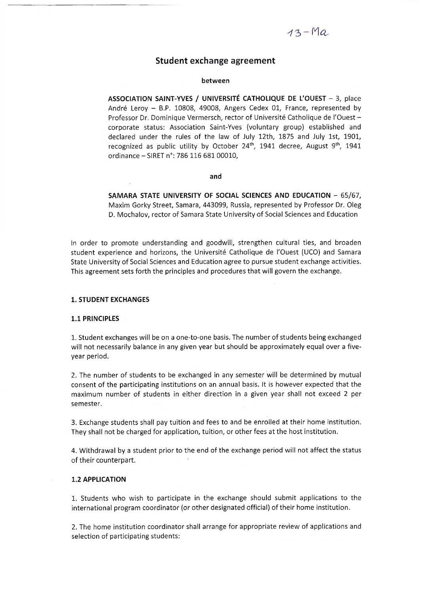# $13 - Ma$

### Student exchange agreement

#### between

ASSOCIATION SAINT-YVES / UNIVERSITÉ CATHOLIQUE DE L'OUEST - 3, place André Leroy - B.P. 10808, 49008, Angers Cedex 01, France, represented by Professor Dr. Dominique Vermersch, rector of Université Catholique de l'Ouest corporate status: Association Saint-Yves (voluntary group) established and declared under the rules of the law of July 12th, 1875 and July 1st, 1901, recognized as public utility by October  $24^{th}$ , 1941 decree, August 9<sup>th</sup>, 1941 ordinance - SIRET n°: 786 116 681 00010,

#### and

**SAMARA STATE UNIVERSITY OF SOCIAL SCIENCES AND EDUCATION** - 65/67, Maxim Gorky Street, Samara, 443099, Russia, represented by Professor Dr. Oleg D. Mochalov, rector of Samara State University of Social Sciences and Education

In order to promote understanding and goodwill, strengthen cultural ties, and broaden student experience and horizons, the Université Catholique de l'Ouest (UCO) and Samara State University of Social Sciences and Education agree to pursue student exchange activities. This agreement sets forth the principles and procedures that will govern the exchange.

#### **1. STUDENT EXCHANGES**

#### **1.1 PRINCIPLES**

1. Student exchanges will be on a one-to-one basis. The number of students being exchanged will not necessarily balance in any given year but should be approximately equal over a fiveyear period.

2. The number of students to be exchanged in any semester will be determined by mutual consent of the participating institutions on an annual basis. It is however expected that the maximum number of students in either direction in a given year shall not exceed 2 per semester.

3. Exchange students shall pay tuition and fees to and be enrolled at their home institution. They shall not be charged for application, tuition, or other fees at the host institution.

4. Withdrawal by a student prior to the end of the exchange period will not affect the status of their counterpart.

#### **1.2 APPLICATION**

1. Students who wish to participate in the exchange should submit applications to the international program coordinator (or other designated official) of their home institution.

2. The home institution coordinator shall arrange for appropriate review of applications and selection of participating students: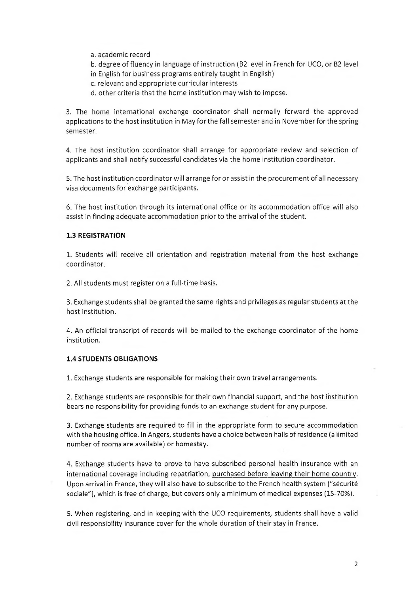- a. academic record
- b. degree of fluency in language of instruction (B2 level in French for UCO, or B2 level in English for business programs entirely taught in English)
- c. relevant and appropriate curricular interests
- d. other criteria that the home institution may wish to impose.

3. The home international exchange coordinator shall normally forward the approved applications to the host institution in May for the fall semester and in November for the spring semester.

4. The host institution coordinator shall arrange for appropriate review and selection of applicants and shall notify successful candidates via the home institution coordinator.

5. The host institution coordinator will arrange for or assist in the procurement of all necessary visa documents for exchange participants.

6. The host institution through its international office or its accommodation office will also assist in finding adequate accommodation prior to the arrival of the student.

### **1.3 REGISTRATION**

1. Students will receive all orientation and registration material from the host exchange coordinator.

2. All students must register on a full-time basis.

3. Exchange students shall be granted the same rights and privileges as regular students at the host institution.

4. An official transcript of records will be mailed to the exchange coordinator of the home institution.

### **1.4 STUDENTS OBLIGATIONS**

1. Exchange students are responsible for making their own travel arrangements.

2. Exchange students are responsible for their own financial support, and the host institution bears no responsibility for providing funds to an exchange student for any purpose.

3. Exchange students are required to fill in the appropriate form to secure accommodation with the housing office. In Angers, students have a choice between halls of residence (a limited number of rooms are available) or homestay.

4. Exchange students have to prove to have subscribed personal health insurance with an international coverage including repatriation, purchased before leaving their home country. Upon arrival in France, they will also have to subscribe to the French health system (''sécurité sociale"), which is free of charge, but covers only a minimum of medical expenses (15-70%).

5. When registering, and in keeping with the UCO requirements, students shall have a valid civil responsibility insurance cover for the whole duration of their stay in France.